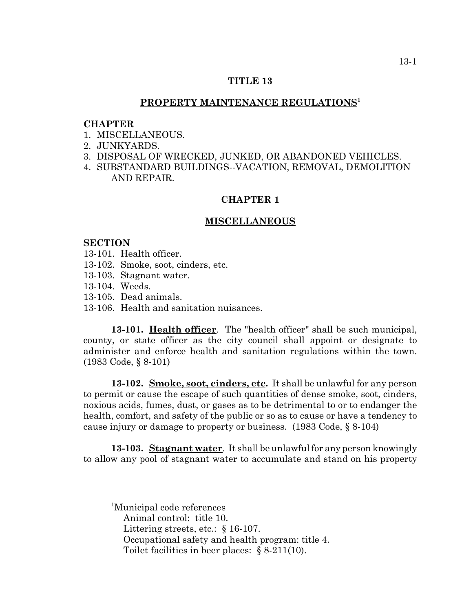### **TITLE 13**

### **PROPERTY MAINTENANCE REGULATIONS1**

#### **CHAPTER**

- 1 MISCELLANEOUS
- 2. JUNKYARDS.
- 3. DISPOSAL OF WRECKED, JUNKED, OR ABANDONED VEHICLES.
- 4. SUBSTANDARD BUILDINGS--VACATION, REMOVAL, DEMOLITION AND REPAIR.

## **CHAPTER 1**

#### **MISCELLANEOUS**

#### **SECTION**

- 13-101. Health officer.
- 13-102. Smoke, soot, cinders, etc.
- 13-103. Stagnant water.
- 13-104. Weeds.
- 13-105. Dead animals.
- 13-106. Health and sanitation nuisances.

**13-101. Health officer**. The "health officer" shall be such municipal, county, or state officer as the city council shall appoint or designate to administer and enforce health and sanitation regulations within the town. (1983 Code, § 8-101)

**13-102. Smoke, soot, cinders, etc.** It shall be unlawful for any person to permit or cause the escape of such quantities of dense smoke, soot, cinders, noxious acids, fumes, dust, or gases as to be detrimental to or to endanger the health, comfort, and safety of the public or so as to cause or have a tendency to cause injury or damage to property or business. (1983 Code, § 8-104)

**13-103. Stagnant water**. It shall be unlawful for any person knowingly to allow any pool of stagnant water to accumulate and stand on his property

- Littering streets, etc.: § 16-107.
- Occupational safety and health program: title 4.
- Toilet facilities in beer places: § 8-211(10).

<sup>1</sup> Municipal code references

Animal control: title 10.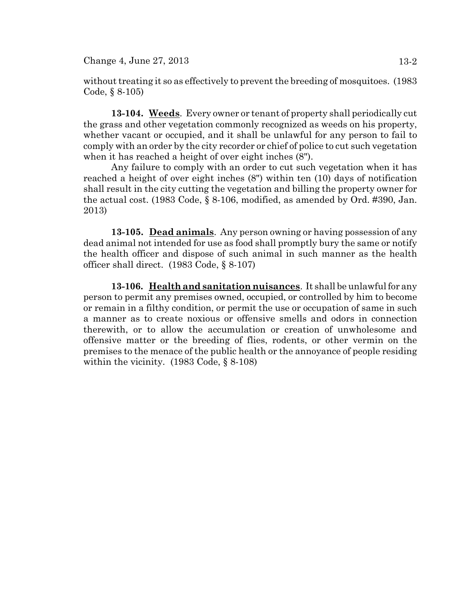$Change\ 4, June\ 27, 2013$  13-2

without treating it so as effectively to prevent the breeding of mosquitoes. (1983 Code, § 8-105)

**13-104. Weeds**. Every owner or tenant of property shall periodically cut the grass and other vegetation commonly recognized as weeds on his property, whether vacant or occupied, and it shall be unlawful for any person to fail to comply with an order by the city recorder or chief of police to cut such vegetation when it has reached a height of over eight inches (8").

Any failure to comply with an order to cut such vegetation when it has reached a height of over eight inches (8") within ten (10) days of notification shall result in the city cutting the vegetation and billing the property owner for the actual cost. (1983 Code, § 8-106, modified, as amended by Ord. #390, Jan. 2013)

**13-105. Dead animals**. Any person owning or having possession of any dead animal not intended for use as food shall promptly bury the same or notify the health officer and dispose of such animal in such manner as the health officer shall direct. (1983 Code, § 8-107)

**13-106. Health and sanitation nuisances**. It shall be unlawful for any person to permit any premises owned, occupied, or controlled by him to become or remain in a filthy condition, or permit the use or occupation of same in such a manner as to create noxious or offensive smells and odors in connection therewith, or to allow the accumulation or creation of unwholesome and offensive matter or the breeding of flies, rodents, or other vermin on the premises to the menace of the public health or the annoyance of people residing within the vicinity. (1983 Code, § 8-108)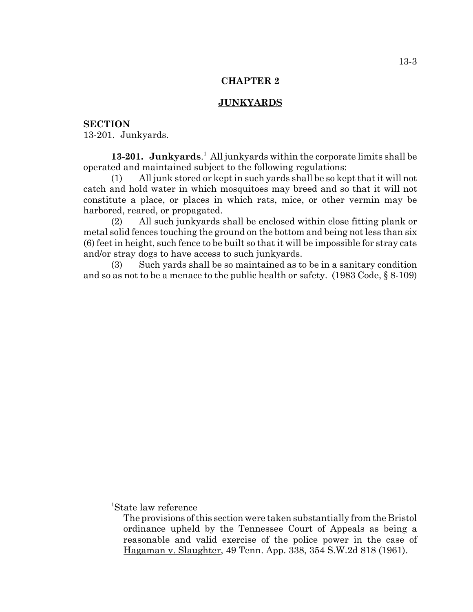## **CHAPTER 2**

## **JUNKYARDS**

### **SECTION**

13-201. Junkyards.

13-201. Junkyards.<sup>1</sup> All junkyards within the corporate limits shall be operated and maintained subject to the following regulations:

(1) All junk stored or kept in such yards shall be so kept that it will not catch and hold water in which mosquitoes may breed and so that it will not constitute a place, or places in which rats, mice, or other vermin may be harbored, reared, or propagated.

(2) All such junkyards shall be enclosed within close fitting plank or metal solid fences touching the ground on the bottom and being not less than six (6) feet in height, such fence to be built so that it will be impossible for stray cats and/or stray dogs to have access to such junkyards.

(3) Such yards shall be so maintained as to be in a sanitary condition and so as not to be a menace to the public health or safety. (1983 Code, § 8-109)

<sup>1</sup> State law reference

The provisions of this section were taken substantially from the Bristol ordinance upheld by the Tennessee Court of Appeals as being a reasonable and valid exercise of the police power in the case of Hagaman v. Slaughter, 49 Tenn. App. 338, 354 S.W.2d 818 (1961).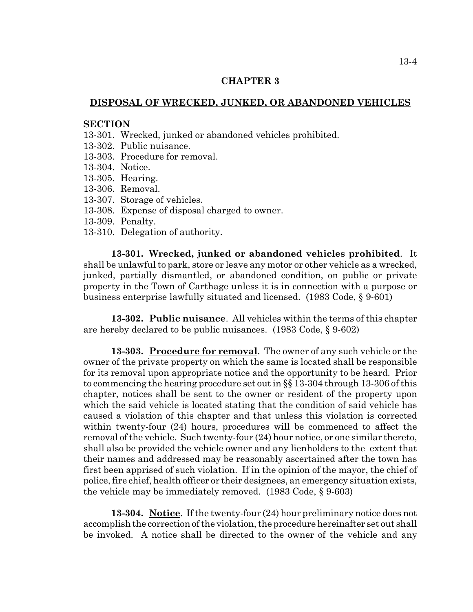#### **CHAPTER 3**

### **DISPOSAL OF WRECKED, JUNKED, OR ABANDONED VEHICLES**

#### **SECTION**

- 13-301. Wrecked, junked or abandoned vehicles prohibited.
- 13-302. Public nuisance.
- 13-303. Procedure for removal.
- 13-304. Notice.
- 13-305. Hearing.
- 13-306. Removal.
- 13-307. Storage of vehicles.
- 13-308. Expense of disposal charged to owner.
- 13-309. Penalty.
- 13-310. Delegation of authority.

**13-301. Wrecked, junked or abandoned vehicles prohibited**. It shall be unlawful to park, store or leave any motor or other vehicle as a wrecked, junked, partially dismantled, or abandoned condition, on public or private property in the Town of Carthage unless it is in connection with a purpose or business enterprise lawfully situated and licensed. (1983 Code, § 9-601)

**13-302. Public nuisance**. All vehicles within the terms of this chapter are hereby declared to be public nuisances. (1983 Code, § 9-602)

**13-303. Procedure for removal**. The owner of any such vehicle or the owner of the private property on which the same is located shall be responsible for its removal upon appropriate notice and the opportunity to be heard. Prior to commencing the hearing procedure set out in §§ 13-304 through 13-306 of this chapter, notices shall be sent to the owner or resident of the property upon which the said vehicle is located stating that the condition of said vehicle has caused a violation of this chapter and that unless this violation is corrected within twenty-four (24) hours, procedures will be commenced to affect the removal of the vehicle. Such twenty-four (24) hour notice, or one similar thereto, shall also be provided the vehicle owner and any lienholders to the extent that their names and addressed may be reasonably ascertained after the town has first been apprised of such violation. If in the opinion of the mayor, the chief of police, fire chief, health officer or their designees, an emergency situation exists, the vehicle may be immediately removed. (1983 Code, § 9-603)

**13-304. Notice**. If the twenty-four (24) hour preliminary notice does not accomplish the correction of the violation, the procedure hereinafter set out shall be invoked. A notice shall be directed to the owner of the vehicle and any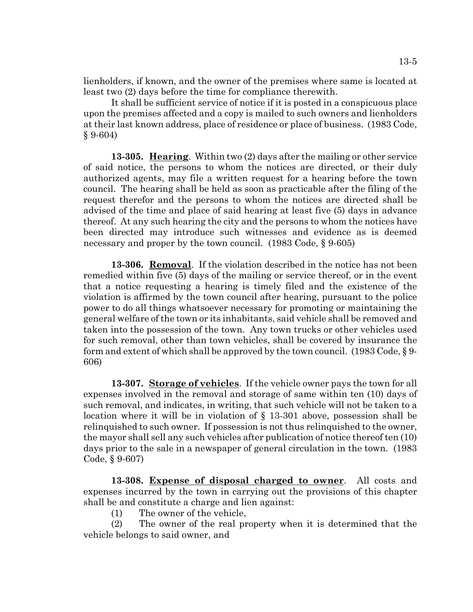lienholders, if known, and the owner of the premises where same is located at least two (2) days before the time for compliance therewith.

It shall be sufficient service of notice if it is posted in a conspicuous place upon the premises affected and a copy is mailed to such owners and lienholders at their last known address, place of residence or place of business. (1983 Code,  $§ 9-604)$ 

**13-305. Hearing**. Within two (2) days after the mailing or other service of said notice, the persons to whom the notices are directed, or their duly authorized agents, may file a written request for a hearing before the town council. The hearing shall be held as soon as practicable after the filing of the request therefor and the persons to whom the notices are directed shall be advised of the time and place of said hearing at least five (5) days in advance thereof. At any such hearing the city and the persons to whom the notices have been directed may introduce such witnesses and evidence as is deemed necessary and proper by the town council. (1983 Code, § 9-605)

**13-306. Removal**. If the violation described in the notice has not been remedied within five (5) days of the mailing or service thereof, or in the event that a notice requesting a hearing is timely filed and the existence of the violation is affirmed by the town council after hearing, pursuant to the police power to do all things whatsoever necessary for promoting or maintaining the general welfare of the town or its inhabitants, said vehicle shall be removed and taken into the possession of the town. Any town trucks or other vehicles used for such removal, other than town vehicles, shall be covered by insurance the form and extent of which shall be approved by the town council. (1983 Code, § 9- 606)

**13-307. Storage of vehicles**. If the vehicle owner pays the town for all expenses involved in the removal and storage of same within ten (10) days of such removal, and indicates, in writing, that such vehicle will not be taken to a location where it will be in violation of § 13-301 above, possession shall be relinquished to such owner. If possession is not thus relinquished to the owner, the mayor shall sell any such vehicles after publication of notice thereof ten (10) days prior to the sale in a newspaper of general circulation in the town. (1983 Code, § 9-607)

**13-308. Expense of disposal charged to owner**. All costs and expenses incurred by the town in carrying out the provisions of this chapter shall be and constitute a charge and lien against:

(1) The owner of the vehicle,

(2) The owner of the real property when it is determined that the vehicle belongs to said owner, and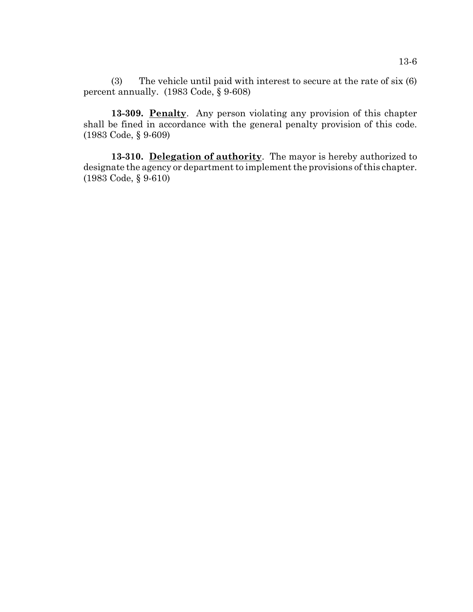(3) The vehicle until paid with interest to secure at the rate of six (6) percent annually. (1983 Code, § 9-608)

**13-309. Penalty**. Any person violating any provision of this chapter shall be fined in accordance with the general penalty provision of this code. (1983 Code, § 9-609)

**13-310. Delegation of authority**. The mayor is hereby authorized to designate the agency or department to implement the provisions of this chapter. (1983 Code, § 9-610)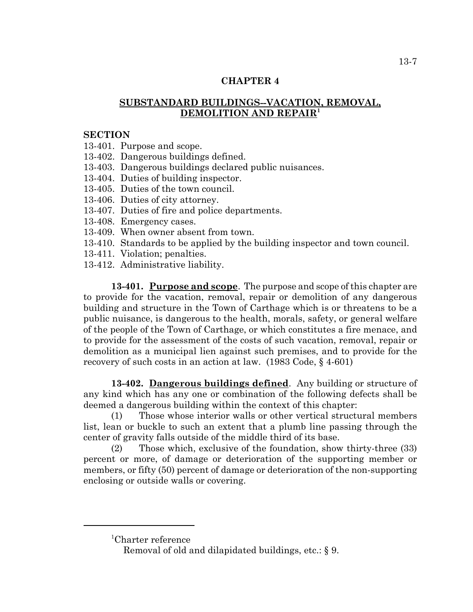## **CHAPTER 4**

# **SUBSTANDARD BUILDINGS--VACATION, REMOVAL, DEMOLITION AND REPAIR1**

## **SECTION**

13-401. Purpose and scope.

- 13-402. Dangerous buildings defined.
- 13-403. Dangerous buildings declared public nuisances.
- 13-404. Duties of building inspector.
- 13-405. Duties of the town council.
- 13-406. Duties of city attorney.
- 13-407. Duties of fire and police departments.
- 13-408. Emergency cases.
- 13-409. When owner absent from town.
- 13-410. Standards to be applied by the building inspector and town council.
- 13-411. Violation; penalties.
- 13-412. Administrative liability.

**13-401. Purpose and scope**. The purpose and scope of this chapter are to provide for the vacation, removal, repair or demolition of any dangerous building and structure in the Town of Carthage which is or threatens to be a public nuisance, is dangerous to the health, morals, safety, or general welfare of the people of the Town of Carthage, or which constitutes a fire menace, and to provide for the assessment of the costs of such vacation, removal, repair or demolition as a municipal lien against such premises, and to provide for the recovery of such costs in an action at law. (1983 Code, § 4-601)

**13-402. Dangerous buildings defined**. Any building or structure of any kind which has any one or combination of the following defects shall be deemed a dangerous building within the context of this chapter:

(1) Those whose interior walls or other vertical structural members list, lean or buckle to such an extent that a plumb line passing through the center of gravity falls outside of the middle third of its base.

(2) Those which, exclusive of the foundation, show thirty-three (33) percent or more, of damage or deterioration of the supporting member or members, or fifty (50) percent of damage or deterioration of the non-supporting enclosing or outside walls or covering.

1 Charter reference

Removal of old and dilapidated buildings, etc.: § 9.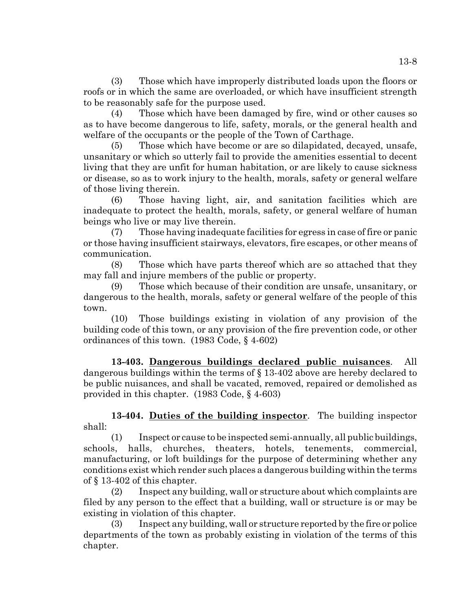(3) Those which have improperly distributed loads upon the floors or roofs or in which the same are overloaded, or which have insufficient strength to be reasonably safe for the purpose used.

(4) Those which have been damaged by fire, wind or other causes so as to have become dangerous to life, safety, morals, or the general health and welfare of the occupants or the people of the Town of Carthage.

(5) Those which have become or are so dilapidated, decayed, unsafe, unsanitary or which so utterly fail to provide the amenities essential to decent living that they are unfit for human habitation, or are likely to cause sickness or disease, so as to work injury to the health, morals, safety or general welfare of those living therein.

(6) Those having light, air, and sanitation facilities which are inadequate to protect the health, morals, safety, or general welfare of human beings who live or may live therein.

(7) Those having inadequate facilities for egress in case of fire or panic or those having insufficient stairways, elevators, fire escapes, or other means of communication.

(8) Those which have parts thereof which are so attached that they may fall and injure members of the public or property.

(9) Those which because of their condition are unsafe, unsanitary, or dangerous to the health, morals, safety or general welfare of the people of this town.

(10) Those buildings existing in violation of any provision of the building code of this town, or any provision of the fire prevention code, or other ordinances of this town. (1983 Code, § 4-602)

**13-403. Dangerous buildings declared public nuisances**. All dangerous buildings within the terms of § 13-402 above are hereby declared to be public nuisances, and shall be vacated, removed, repaired or demolished as provided in this chapter. (1983 Code, § 4-603)

**13-404. Duties of the building inspector**. The building inspector shall:

(1) Inspect or cause to be inspected semi-annually, all public buildings, schools, halls, churches, theaters, hotels, tenements, commercial, manufacturing, or loft buildings for the purpose of determining whether any conditions exist which render such places a dangerous building within the terms of § 13-402 of this chapter.

(2) Inspect any building, wall or structure about which complaints are filed by any person to the effect that a building, wall or structure is or may be existing in violation of this chapter.

(3) Inspect any building, wall or structure reported by the fire or police departments of the town as probably existing in violation of the terms of this chapter.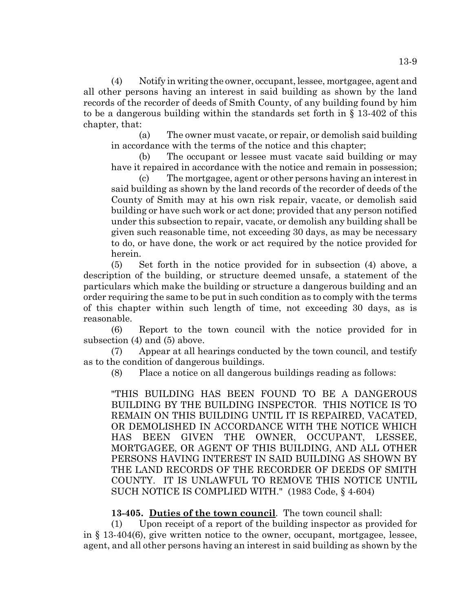(4) Notify in writing the owner, occupant, lessee, mortgagee, agent and all other persons having an interest in said building as shown by the land records of the recorder of deeds of Smith County, of any building found by him to be a dangerous building within the standards set forth in § 13-402 of this chapter, that:

(a) The owner must vacate, or repair, or demolish said building in accordance with the terms of the notice and this chapter;

(b) The occupant or lessee must vacate said building or may have it repaired in accordance with the notice and remain in possession;

(c) The mortgagee, agent or other persons having an interest in said building as shown by the land records of the recorder of deeds of the County of Smith may at his own risk repair, vacate, or demolish said building or have such work or act done; provided that any person notified under this subsection to repair, vacate, or demolish any building shall be given such reasonable time, not exceeding 30 days, as may be necessary to do, or have done, the work or act required by the notice provided for herein.

(5) Set forth in the notice provided for in subsection (4) above, a description of the building, or structure deemed unsafe, a statement of the particulars which make the building or structure a dangerous building and an order requiring the same to be put in such condition as to comply with the terms of this chapter within such length of time, not exceeding 30 days, as is reasonable.

(6) Report to the town council with the notice provided for in subsection (4) and (5) above.

(7) Appear at all hearings conducted by the town council, and testify as to the condition of dangerous buildings.

(8) Place a notice on all dangerous buildings reading as follows:

"THIS BUILDING HAS BEEN FOUND TO BE A DANGEROUS BUILDING BY THE BUILDING INSPECTOR. THIS NOTICE IS TO REMAIN ON THIS BUILDING UNTIL IT IS REPAIRED, VACATED, OR DEMOLISHED IN ACCORDANCE WITH THE NOTICE WHICH HAS BEEN GIVEN THE OWNER, OCCUPANT, LESSEE, MORTGAGEE, OR AGENT OF THIS BUILDING, AND ALL OTHER PERSONS HAVING INTEREST IN SAID BUILDING AS SHOWN BY THE LAND RECORDS OF THE RECORDER OF DEEDS OF SMITH COUNTY. IT IS UNLAWFUL TO REMOVE THIS NOTICE UNTIL SUCH NOTICE IS COMPLIED WITH." (1983 Code, § 4-604)

**13-405. Duties of the town council**. The town council shall:

(1) Upon receipt of a report of the building inspector as provided for in § 13-404(6), give written notice to the owner, occupant, mortgagee, lessee, agent, and all other persons having an interest in said building as shown by the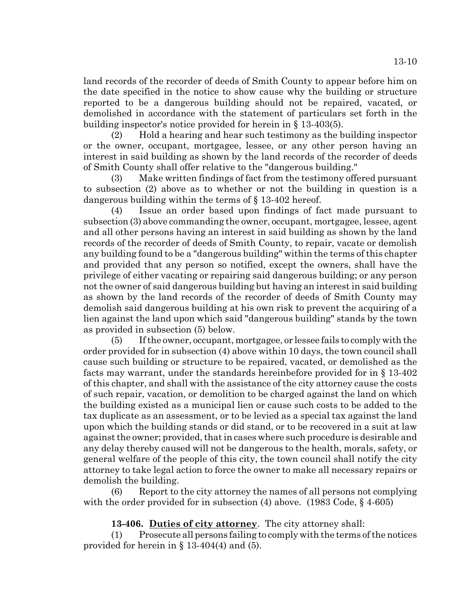land records of the recorder of deeds of Smith County to appear before him on the date specified in the notice to show cause why the building or structure reported to be a dangerous building should not be repaired, vacated, or demolished in accordance with the statement of particulars set forth in the building inspector's notice provided for herein in § 13-403(5).

(2) Hold a hearing and hear such testimony as the building inspector or the owner, occupant, mortgagee, lessee, or any other person having an interest in said building as shown by the land records of the recorder of deeds of Smith County shall offer relative to the "dangerous building."

(3) Make written findings of fact from the testimony offered pursuant to subsection (2) above as to whether or not the building in question is a dangerous building within the terms of § 13-402 hereof.

(4) Issue an order based upon findings of fact made pursuant to subsection (3) above commanding the owner, occupant, mortgagee, lessee, agent and all other persons having an interest in said building as shown by the land records of the recorder of deeds of Smith County, to repair, vacate or demolish any building found to be a "dangerous building" within the terms of this chapter and provided that any person so notified, except the owners, shall have the privilege of either vacating or repairing said dangerous building; or any person not the owner of said dangerous building but having an interest in said building as shown by the land records of the recorder of deeds of Smith County may demolish said dangerous building at his own risk to prevent the acquiring of a lien against the land upon which said "dangerous building" stands by the town as provided in subsection (5) below.

(5) If the owner, occupant, mortgagee, or lessee fails to comply with the order provided for in subsection (4) above within 10 days, the town council shall cause such building or structure to be repaired, vacated, or demolished as the facts may warrant, under the standards hereinbefore provided for in § 13-402 of this chapter, and shall with the assistance of the city attorney cause the costs of such repair, vacation, or demolition to be charged against the land on which the building existed as a municipal lien or cause such costs to be added to the tax duplicate as an assessment, or to be levied as a special tax against the land upon which the building stands or did stand, or to be recovered in a suit at law against the owner; provided, that in cases where such procedure is desirable and any delay thereby caused will not be dangerous to the health, morals, safety, or general welfare of the people of this city, the town council shall notify the city attorney to take legal action to force the owner to make all necessary repairs or demolish the building.

(6) Report to the city attorney the names of all persons not complying with the order provided for in subsection (4) above. (1983 Code, § 4-605)

# **13-406. Duties of city attorney**. The city attorney shall:

(1) Prosecute all persons failing to comply with the terms of the notices provided for herein in  $\S$  13-404(4) and (5).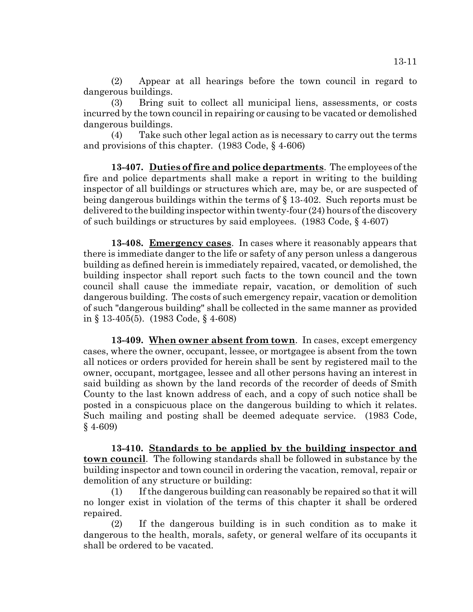(2) Appear at all hearings before the town council in regard to dangerous buildings.

(3) Bring suit to collect all municipal liens, assessments, or costs incurred by the town council in repairing or causing to be vacated or demolished dangerous buildings.

(4) Take such other legal action as is necessary to carry out the terms and provisions of this chapter. (1983 Code, § 4-606)

**13-407. Duties of fire and police departments**. The employees of the fire and police departments shall make a report in writing to the building inspector of all buildings or structures which are, may be, or are suspected of being dangerous buildings within the terms of § 13-402. Such reports must be delivered to the building inspector within twenty-four (24) hours of the discovery of such buildings or structures by said employees. (1983 Code, § 4-607)

**13-408. Emergency cases**. In cases where it reasonably appears that there is immediate danger to the life or safety of any person unless a dangerous building as defined herein is immediately repaired, vacated, or demolished, the building inspector shall report such facts to the town council and the town council shall cause the immediate repair, vacation, or demolition of such dangerous building. The costs of such emergency repair, vacation or demolition of such "dangerous building" shall be collected in the same manner as provided in § 13-405(5). (1983 Code, § 4-608)

**13-409. When owner absent from town**. In cases, except emergency cases, where the owner, occupant, lessee, or mortgagee is absent from the town all notices or orders provided for herein shall be sent by registered mail to the owner, occupant, mortgagee, lessee and all other persons having an interest in said building as shown by the land records of the recorder of deeds of Smith County to the last known address of each, and a copy of such notice shall be posted in a conspicuous place on the dangerous building to which it relates. Such mailing and posting shall be deemed adequate service. (1983 Code, § 4-609)

**13-410. Standards to be applied by the building inspector and town council**. The following standards shall be followed in substance by the building inspector and town council in ordering the vacation, removal, repair or demolition of any structure or building:

(1) If the dangerous building can reasonably be repaired so that it will no longer exist in violation of the terms of this chapter it shall be ordered repaired.

(2) If the dangerous building is in such condition as to make it dangerous to the health, morals, safety, or general welfare of its occupants it shall be ordered to be vacated.